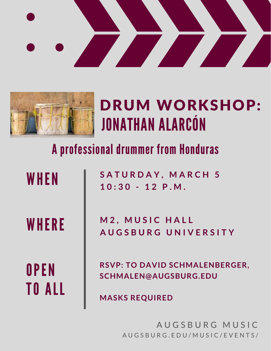



## JONATHAN ALARCÓN DRUM WORKSHOP:

## A professional drummer from Honduras

| WHEN  |
|-------|
| WHERE |
| OPEN  |

TO ALL

**S A T U R D A Y , M A R C H 5 1 0 : 3 0 - 1 2 P . M .**

**M 2 , M U S I C H A L L A U G S B U R G U N I V E R S I T Y**

**RSVP: TO DAVID SCHMALENBERGER, SCHMALEN@AUGSBURG.EDU**

**MASKS REQUIRED**

AUGSBURG MUSIC A U G S B U R G . E D U / M U S I C / E V E N T S /